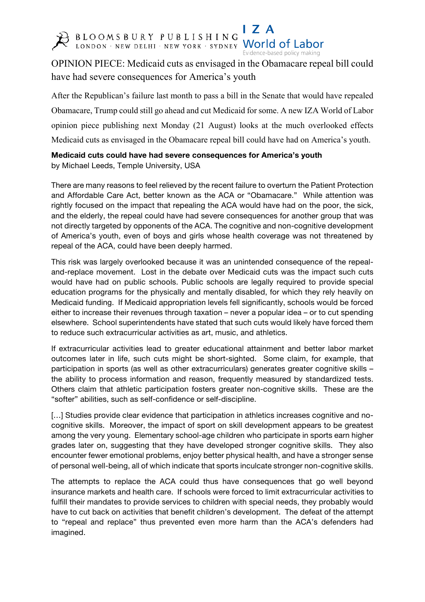

I 7 A BLOOMSBURY PUBLISHING World of Labor

Evidence-based policy making

## OPINION PIECE: Medicaid cuts as envisaged in the Obamacare repeal bill could have had severe consequences for America's youth

After the Republican's failure last month to pass a bill in the Senate that would have repealed Obamacare, Trump could still go ahead and cut Medicaid for some. A new IZA World of Labor opinion piece publishing next Monday (21 August) looks at the much overlooked effects Medicaid cuts as envisaged in the Obamacare repeal bill could have had on America's youth.

**Medicaid cuts could have had severe consequences for America's youth**  by Michael Leeds, Temple University, USA

There are many reasons to feel relieved by the recent failure to overturn the Patient Protection and Affordable Care Act, better known as the ACA or "Obamacare." While attention was rightly focused on the impact that repealing the ACA would have had on the poor, the sick, and the elderly, the repeal could have had severe consequences for another group that was not directly targeted by opponents of the ACA. The cognitive and non-cognitive development of America's youth, even of boys and girls whose health coverage was not threatened by repeal of the ACA, could have been deeply harmed.

This risk was largely overlooked because it was an unintended consequence of the repealand-replace movement. Lost in the debate over Medicaid cuts was the impact such cuts would have had on public schools. Public schools are legally required to provide special education programs for the physically and mentally disabled, for which they rely heavily on Medicaid funding. If Medicaid appropriation levels fell significantly, schools would be forced either to increase their revenues through taxation – never a popular idea – or to cut spending elsewhere. School superintendents have stated that such cuts would likely have forced them to reduce such extracurricular activities as art, music, and athletics.

If extracurricular activities lead to greater educational attainment and better labor market outcomes later in life, such cuts might be short-sighted. Some claim, for example, that participation in sports (as well as other extracurriculars) generates greater cognitive skills – the ability to process information and reason, frequently measured by standardized tests. Others claim that athletic participation fosters greater non-cognitive skills. These are the "softer" abilities, such as self-confidence or self-discipline.

[...] Studies provide clear evidence that participation in athletics increases cognitive and nocognitive skills. Moreover, the impact of sport on skill development appears to be greatest among the very young. Elementary school-age children who participate in sports earn higher grades later on, suggesting that they have developed stronger cognitive skills. They also encounter fewer emotional problems, enjoy better physical health, and have a stronger sense of personal well-being, all of which indicate that sports inculcate stronger non-cognitive skills.

The attempts to replace the ACA could thus have consequences that go well beyond insurance markets and health care. If schools were forced to limit extracurricular activities to fulfill their mandates to provide services to children with special needs, they probably would have to cut back on activities that benefit children's development. The defeat of the attempt to "repeal and replace" thus prevented even more harm than the ACA's defenders had imagined.